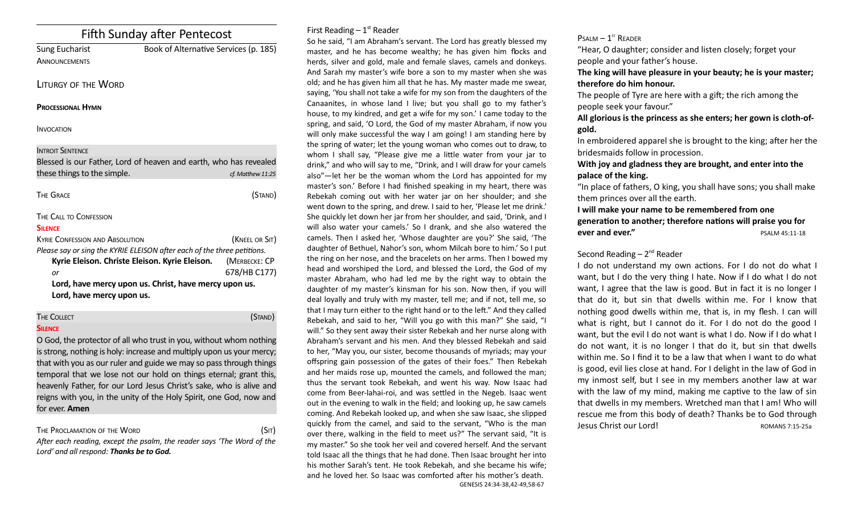# Fifth Sunday after Pentecost

Sung Eucharist Book of Alternative Services (p. 185) **ANNOUNCEMENTS** 

# LITURGY OF THE WORD

#### **PROCESSIONAL HYMN**

#### **INVOCATION**

#### **INTROIT SENTENCE**

|                             | Blessed is our Father, Lord of heaven and earth, who has revealed |
|-----------------------------|-------------------------------------------------------------------|
| these things to the simple. | cf. Matthew 11:25                                                 |

| <b>THE GRACE</b>                                                        | (Stand)        |  |
|-------------------------------------------------------------------------|----------------|--|
| THE CALL TO CONFESSION                                                  |                |  |
| <b>SILENCE</b>                                                          |                |  |
| <b>KYRIE CONFESSION AND ABSOLUTION</b>                                  | (KNEEL OR SIT) |  |
| Please say or sing the KYRIE ELEISON after each of the three petitions. |                |  |
| Kyrie Eleison. Christe Eleison. Kyrie Eleison.                          | (MERBECKE: CP  |  |
| or                                                                      | 678/HB C177)   |  |
| Lord, have mercy upon us. Christ, have mercy upon us.                   |                |  |

**Lord, have mercy upon us.**

#### THE COLLECT **THE COLLECT COLLECT**

#### **SILENCE**

O God, the protector of all who trust in you, without whom nothing is strong, nothing is holy: increase and multiply upon us your mercy; that with you as our ruler and guide we may so pass through things temporal that we lose not our hold on things eternal; grant this, heavenly Father, for our Lord Jesus Christ's sake, who is alive and reigns with you, in the unity of the Holy Spirit, one God, now and for ever. **Amen**

#### THE PROCLAMATION OF THE WORD (SIT)

*Afer each reading, except the psalm, the reader says 'The Word of the Lord' and all respond: Thanks be to God.*

## First Reading  $-1<sup>st</sup>$  Reader

So he said, "I am Abraham's servant. The Lord has greatly blessed my master, and he has become wealthy; he has given him focks and herds, silver and gold, male and female slaves, camels and donkeys. And Sarah my master's wife bore a son to my master when she was old; and he has given him all that he has. My master made me swear, saying, 'You shall not take a wife for my son from the daughters of the Canaanites, in whose land I live; but you shall go to my father's house, to my kindred, and get a wife for my son.' I came today to the spring, and said, 'O Lord, the God of my master Abraham, if now you will only make successful the way I am going! I am standing here by the spring of water; let the young woman who comes out to draw, to whom I shall say, "Please give me a little water from your jar to drink," and who will say to me, "Drink, and I will draw for your camels also"—let her be the woman whom the Lord has appointed for my master's son.' Before I had finished speaking in my heart, there was Rebekah coming out with her water jar on her shoulder; and she went down to the spring, and drew. I said to her, 'Please let me drink.' She quickly let down her jar from her shoulder, and said, 'Drink, and I will also water your camels.' So I drank, and she also watered the camels. Then I asked her, 'Whose daughter are you?' She said, 'The daughter of Bethuel, Nahor's son, whom Milcah bore to him.' So I put the ring on her nose, and the bracelets on her arms. Then I bowed my head and worshiped the Lord, and blessed the Lord, the God of my master Abraham, who had led me by the right way to obtain the daughter of my master's kinsman for his son. Now then, if you will deal loyally and truly with my master, tell me; and if not, tell me, so that I may turn either to the right hand or to the lef." And they called Rebekah, and said to her, "Will you go with this man?" She said, "I will." So they sent away their sister Rebekah and her nurse along with Abraham's servant and his men. And they blessed Rebekah and said to her, "May you, our sister, become thousands of myriads; may your ofspring gain possession of the gates of their foes." Then Rebekah and her maids rose up, mounted the camels, and followed the man; thus the servant took Rebekah, and went his way. Now Isaac had come from Beer-lahai-roi, and was setled in the Negeb. Isaac went out in the evening to walk in the feld; and looking up, he saw camels coming. And Rebekah looked up, and when she saw Isaac, she slipped quickly from the camel, and said to the servant, "Who is the man over there, walking in the feld to meet us?" The servant said, "It is my master." So she took her veil and covered herself. And the servant told Isaac all the things that he had done. Then Isaac brought her into his mother Sarah's tent. He took Rebekah, and she became his wife; and he loved her. So Isaac was comforted after his mother's death. GENESIS 24:34-38,42-49,58-67

# $P$ SALM  $-1$ <sup>ST</sup> READER

"Hear, O daughter; consider and listen closely; forget your people and your father's house.

**The king will have pleasure in your beauty; he is your master; therefore do him honour.**

The people of Tyre are here with a gift; the rich among the people seek your favour."

**All glorious is the princess as she enters; her gown is cloth-ofgold.**

In embroidered apparel she is brought to the king; after her the bridesmaids follow in procession.

**With joy and gladness they are brought, and enter into the palace of the king.**

"In place of fathers, O king, you shall have sons; you shall make them princes over all the earth.

**I will make your name to be remembered from one generation to another; therefore nations will praise you for ever and ever." PSALM 45:11-18** 

# Second Reading  $-2^{nd}$  Reader

I do not understand my own actions. For I do not do what I want, but I do the very thing I hate. Now if I do what I do not want, I agree that the law is good. But in fact it is no longer I that do it, but sin that dwells within me. For I know that nothing good dwells within me, that is, in my flesh. I can will what is right, but I cannot do it. For I do not do the good I want, but the evil I do not want is what I do. Now if I do what I do not want, it is no longer I that do it, but sin that dwells within me. So I find it to be a law that when I want to do what is good, evil lies close at hand. For I delight in the law of God in my inmost self, but I see in my members another law at war with the law of my mind, making me captive to the law of sin that dwells in my members. Wretched man that I am! Who will rescue me from this body of death? Thanks be to God through Jesus Christ our Lord! ROMANS 7:15-25a